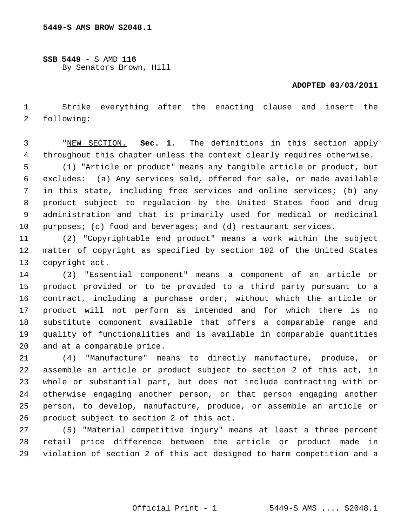**SSB 5449** - S AMD **116** By Senators Brown, Hill

## **ADOPTED 03/03/2011**

 1 Strike everything after the enacting clause and insert the 2 following:

 3 "NEW SECTION. **Sec. 1.** The definitions in this section apply 4 throughout this chapter unless the context clearly requires otherwise.

 5 (1) "Article or product" means any tangible article or product, but 6 excludes: (a) Any services sold, offered for sale, or made available 7 in this state, including free services and online services; (b) any 8 product subject to regulation by the United States food and drug 9 administration and that is primarily used for medical or medicinal 10 purposes; (c) food and beverages; and (d) restaurant services.

11 (2) "Copyrightable end product" means a work within the subject 12 matter of copyright as specified by section 102 of the United States 13 copyright act.

14 (3) "Essential component" means a component of an article or 15 product provided or to be provided to a third party pursuant to a 16 contract, including a purchase order, without which the article or 17 product will not perform as intended and for which there is no 18 substitute component available that offers a comparable range and 19 quality of functionalities and is available in comparable quantities 20 and at a comparable price.

21 (4) "Manufacture" means to directly manufacture, produce, or 22 assemble an article or product subject to section 2 of this act, in 23 whole or substantial part, but does not include contracting with or 24 otherwise engaging another person, or that person engaging another 25 person, to develop, manufacture, produce, or assemble an article or 26 product subject to section 2 of this act.

27 (5) "Material competitive injury" means at least a three percent 28 retail price difference between the article or product made in 29 violation of section 2 of this act designed to harm competition and a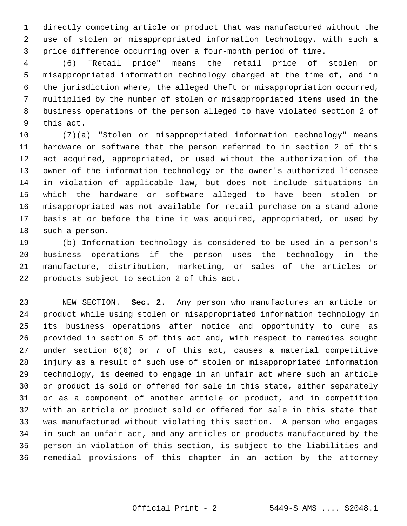1 directly competing article or product that was manufactured without the 2 use of stolen or misappropriated information technology, with such a 3 price difference occurring over a four-month period of time.

 4 (6) "Retail price" means the retail price of stolen or 5 misappropriated information technology charged at the time of, and in 6 the jurisdiction where, the alleged theft or misappropriation occurred, 7 multiplied by the number of stolen or misappropriated items used in the 8 business operations of the person alleged to have violated section 2 of 9 this act.

10 (7)(a) "Stolen or misappropriated information technology" means 11 hardware or software that the person referred to in section 2 of this 12 act acquired, appropriated, or used without the authorization of the 13 owner of the information technology or the owner's authorized licensee 14 in violation of applicable law, but does not include situations in 15 which the hardware or software alleged to have been stolen or 16 misappropriated was not available for retail purchase on a stand-alone 17 basis at or before the time it was acquired, appropriated, or used by 18 such a person.

19 (b) Information technology is considered to be used in a person's 20 business operations if the person uses the technology in the 21 manufacture, distribution, marketing, or sales of the articles or 22 products subject to section 2 of this act.

23 NEW SECTION. **Sec. 2.** Any person who manufactures an article or 24 product while using stolen or misappropriated information technology in 25 its business operations after notice and opportunity to cure as 26 provided in section 5 of this act and, with respect to remedies sought 27 under section 6(6) or 7 of this act, causes a material competitive 28 injury as a result of such use of stolen or misappropriated information 29 technology, is deemed to engage in an unfair act where such an article 30 or product is sold or offered for sale in this state, either separately 31 or as a component of another article or product, and in competition 32 with an article or product sold or offered for sale in this state that 33 was manufactured without violating this section. A person who engages 34 in such an unfair act, and any articles or products manufactured by the 35 person in violation of this section, is subject to the liabilities and 36 remedial provisions of this chapter in an action by the attorney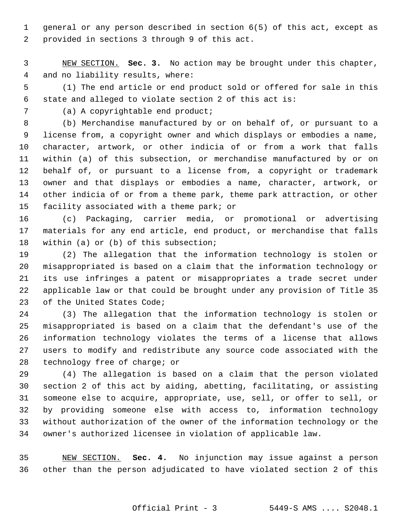1 general or any person described in section 6(5) of this act, except as 2 provided in sections 3 through 9 of this act.

 3 NEW SECTION. **Sec. 3.** No action may be brought under this chapter, 4 and no liability results, where:

 5 (1) The end article or end product sold or offered for sale in this 6 state and alleged to violate section 2 of this act is:

7 (a) A copyrightable end product;

 8 (b) Merchandise manufactured by or on behalf of, or pursuant to a 9 license from, a copyright owner and which displays or embodies a name, 10 character, artwork, or other indicia of or from a work that falls 11 within (a) of this subsection, or merchandise manufactured by or on 12 behalf of, or pursuant to a license from, a copyright or trademark 13 owner and that displays or embodies a name, character, artwork, or 14 other indicia of or from a theme park, theme park attraction, or other 15 facility associated with a theme park; or

16 (c) Packaging, carrier media, or promotional or advertising 17 materials for any end article, end product, or merchandise that falls 18 within (a) or (b) of this subsection;

19 (2) The allegation that the information technology is stolen or 20 misappropriated is based on a claim that the information technology or 21 its use infringes a patent or misappropriates a trade secret under 22 applicable law or that could be brought under any provision of Title 35 23 of the United States Code;

24 (3) The allegation that the information technology is stolen or 25 misappropriated is based on a claim that the defendant's use of the 26 information technology violates the terms of a license that allows 27 users to modify and redistribute any source code associated with the 28 technology free of charge; or

29 (4) The allegation is based on a claim that the person violated 30 section 2 of this act by aiding, abetting, facilitating, or assisting 31 someone else to acquire, appropriate, use, sell, or offer to sell, or 32 by providing someone else with access to, information technology 33 without authorization of the owner of the information technology or the 34 owner's authorized licensee in violation of applicable law.

35 NEW SECTION. **Sec. 4.** No injunction may issue against a person 36 other than the person adjudicated to have violated section 2 of this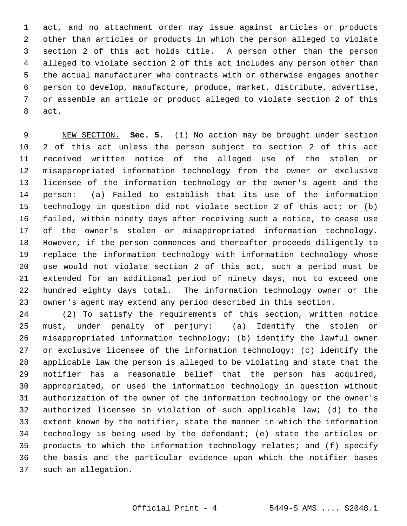1 act, and no attachment order may issue against articles or products 2 other than articles or products in which the person alleged to violate 3 section 2 of this act holds title. A person other than the person 4 alleged to violate section 2 of this act includes any person other than 5 the actual manufacturer who contracts with or otherwise engages another 6 person to develop, manufacture, produce, market, distribute, advertise, 7 or assemble an article or product alleged to violate section 2 of this 8 act.

 9 NEW SECTION. **Sec. 5.** (1) No action may be brought under section 10 2 of this act unless the person subject to section 2 of this act 11 received written notice of the alleged use of the stolen or 12 misappropriated information technology from the owner or exclusive 13 licensee of the information technology or the owner's agent and the 14 person: (a) Failed to establish that its use of the information 15 technology in question did not violate section 2 of this act; or (b) 16 failed, within ninety days after receiving such a notice, to cease use 17 of the owner's stolen or misappropriated information technology. 18 However, if the person commences and thereafter proceeds diligently to 19 replace the information technology with information technology whose 20 use would not violate section 2 of this act, such a period must be 21 extended for an additional period of ninety days, not to exceed one 22 hundred eighty days total. The information technology owner or the 23 owner's agent may extend any period described in this section.

24 (2) To satisfy the requirements of this section, written notice 25 must, under penalty of perjury: (a) Identify the stolen or 26 misappropriated information technology; (b) identify the lawful owner 27 or exclusive licensee of the information technology; (c) identify the 28 applicable law the person is alleged to be violating and state that the 29 notifier has a reasonable belief that the person has acquired, 30 appropriated, or used the information technology in question without 31 authorization of the owner of the information technology or the owner's 32 authorized licensee in violation of such applicable law; (d) to the 33 extent known by the notifier, state the manner in which the information 34 technology is being used by the defendant; (e) state the articles or 35 products to which the information technology relates; and (f) specify 36 the basis and the particular evidence upon which the notifier bases 37 such an allegation.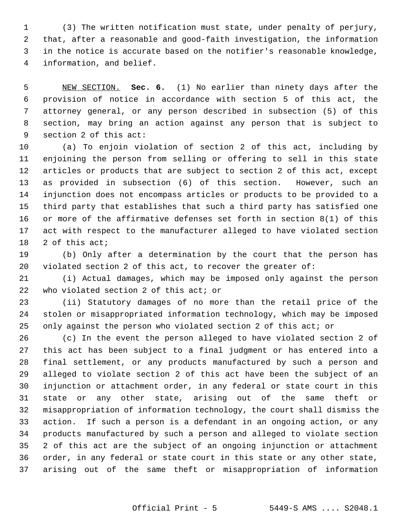1 (3) The written notification must state, under penalty of perjury, 2 that, after a reasonable and good-faith investigation, the information 3 in the notice is accurate based on the notifier's reasonable knowledge, 4 information, and belief.

 5 NEW SECTION. **Sec. 6.** (1) No earlier than ninety days after the 6 provision of notice in accordance with section 5 of this act, the 7 attorney general, or any person described in subsection (5) of this 8 section, may bring an action against any person that is subject to 9 section 2 of this act:

10 (a) To enjoin violation of section 2 of this act, including by 11 enjoining the person from selling or offering to sell in this state 12 articles or products that are subject to section 2 of this act, except 13 as provided in subsection (6) of this section. However, such an 14 injunction does not encompass articles or products to be provided to a 15 third party that establishes that such a third party has satisfied one 16 or more of the affirmative defenses set forth in section 8(1) of this 17 act with respect to the manufacturer alleged to have violated section 18 2 of this act;

19 (b) Only after a determination by the court that the person has 20 violated section 2 of this act, to recover the greater of:

21 (i) Actual damages, which may be imposed only against the person 22 who violated section 2 of this act; or

23 (ii) Statutory damages of no more than the retail price of the 24 stolen or misappropriated information technology, which may be imposed 25 only against the person who violated section 2 of this act; or

26 (c) In the event the person alleged to have violated section 2 of 27 this act has been subject to a final judgment or has entered into a 28 final settlement, or any products manufactured by such a person and 29 alleged to violate section 2 of this act have been the subject of an 30 injunction or attachment order, in any federal or state court in this 31 state or any other state, arising out of the same theft or 32 misappropriation of information technology, the court shall dismiss the 33 action. If such a person is a defendant in an ongoing action, or any 34 products manufactured by such a person and alleged to violate section 35 2 of this act are the subject of an ongoing injunction or attachment 36 order, in any federal or state court in this state or any other state, 37 arising out of the same theft or misappropriation of information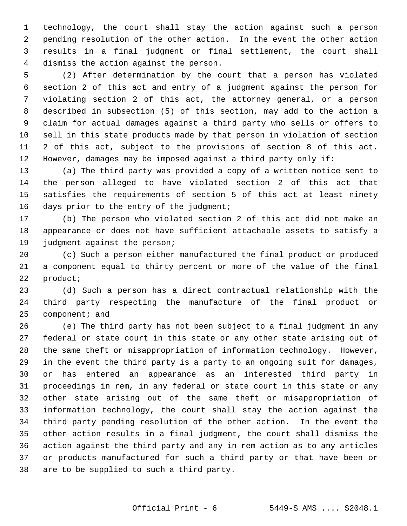1 technology, the court shall stay the action against such a person 2 pending resolution of the other action. In the event the other action 3 results in a final judgment or final settlement, the court shall 4 dismiss the action against the person.

 5 (2) After determination by the court that a person has violated 6 section 2 of this act and entry of a judgment against the person for 7 violating section 2 of this act, the attorney general, or a person 8 described in subsection (5) of this section, may add to the action a 9 claim for actual damages against a third party who sells or offers to 10 sell in this state products made by that person in violation of section 11 2 of this act, subject to the provisions of section 8 of this act. 12 However, damages may be imposed against a third party only if:

13 (a) The third party was provided a copy of a written notice sent to 14 the person alleged to have violated section 2 of this act that 15 satisfies the requirements of section 5 of this act at least ninety 16 days prior to the entry of the judgment;

17 (b) The person who violated section 2 of this act did not make an 18 appearance or does not have sufficient attachable assets to satisfy a 19 judgment against the person;

20 (c) Such a person either manufactured the final product or produced 21 a component equal to thirty percent or more of the value of the final 22 product;

23 (d) Such a person has a direct contractual relationship with the 24 third party respecting the manufacture of the final product or 25 component; and

26 (e) The third party has not been subject to a final judgment in any 27 federal or state court in this state or any other state arising out of 28 the same theft or misappropriation of information technology. However, 29 in the event the third party is a party to an ongoing suit for damages, 30 or has entered an appearance as an interested third party in 31 proceedings in rem, in any federal or state court in this state or any 32 other state arising out of the same theft or misappropriation of 33 information technology, the court shall stay the action against the 34 third party pending resolution of the other action. In the event the 35 other action results in a final judgment, the court shall dismiss the 36 action against the third party and any in rem action as to any articles 37 or products manufactured for such a third party or that have been or 38 are to be supplied to such a third party.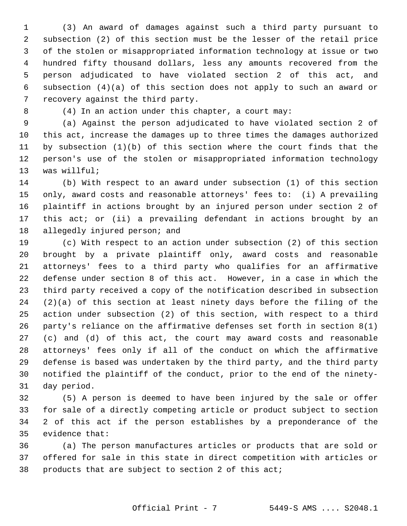1 (3) An award of damages against such a third party pursuant to 2 subsection (2) of this section must be the lesser of the retail price 3 of the stolen or misappropriated information technology at issue or two 4 hundred fifty thousand dollars, less any amounts recovered from the 5 person adjudicated to have violated section 2 of this act, and 6 subsection (4)(a) of this section does not apply to such an award or 7 recovery against the third party.

8 (4) In an action under this chapter, a court may:

 9 (a) Against the person adjudicated to have violated section 2 of 10 this act, increase the damages up to three times the damages authorized 11 by subsection (1)(b) of this section where the court finds that the 12 person's use of the stolen or misappropriated information technology 13 was willful;

14 (b) With respect to an award under subsection (1) of this section 15 only, award costs and reasonable attorneys' fees to: (i) A prevailing 16 plaintiff in actions brought by an injured person under section 2 of 17 this act; or (ii) a prevailing defendant in actions brought by an 18 allegedly injured person; and

19 (c) With respect to an action under subsection (2) of this section 20 brought by a private plaintiff only, award costs and reasonable 21 attorneys' fees to a third party who qualifies for an affirmative 22 defense under section 8 of this act. However, in a case in which the 23 third party received a copy of the notification described in subsection  $24$   $(2)(a)$  of this section at least ninety days before the filing of the 25 action under subsection (2) of this section, with respect to a third 26 party's reliance on the affirmative defenses set forth in section 8(1) 27 (c) and (d) of this act, the court may award costs and reasonable 28 attorneys' fees only if all of the conduct on which the affirmative 29 defense is based was undertaken by the third party, and the third party 30 notified the plaintiff of the conduct, prior to the end of the ninety-31 day period.

32 (5) A person is deemed to have been injured by the sale or offer 33 for sale of a directly competing article or product subject to section 34 2 of this act if the person establishes by a preponderance of the 35 evidence that:

36 (a) The person manufactures articles or products that are sold or 37 offered for sale in this state in direct competition with articles or 38 products that are subject to section 2 of this act;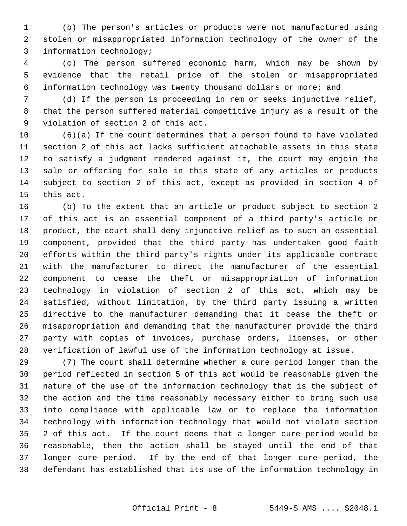1 (b) The person's articles or products were not manufactured using 2 stolen or misappropriated information technology of the owner of the 3 information technology;

 4 (c) The person suffered economic harm, which may be shown by 5 evidence that the retail price of the stolen or misappropriated 6 information technology was twenty thousand dollars or more; and

 7 (d) If the person is proceeding in rem or seeks injunctive relief, 8 that the person suffered material competitive injury as a result of the 9 violation of section 2 of this act.

10 (6)(a) If the court determines that a person found to have violated 11 section 2 of this act lacks sufficient attachable assets in this state 12 to satisfy a judgment rendered against it, the court may enjoin the 13 sale or offering for sale in this state of any articles or products 14 subject to section 2 of this act, except as provided in section 4 of 15 this act.

16 (b) To the extent that an article or product subject to section 2 17 of this act is an essential component of a third party's article or 18 product, the court shall deny injunctive relief as to such an essential 19 component, provided that the third party has undertaken good faith 20 efforts within the third party's rights under its applicable contract 21 with the manufacturer to direct the manufacturer of the essential 22 component to cease the theft or misappropriation of information 23 technology in violation of section 2 of this act, which may be 24 satisfied, without limitation, by the third party issuing a written 25 directive to the manufacturer demanding that it cease the theft or 26 misappropriation and demanding that the manufacturer provide the third 27 party with copies of invoices, purchase orders, licenses, or other 28 verification of lawful use of the information technology at issue.

29 (7) The court shall determine whether a cure period longer than the 30 period reflected in section 5 of this act would be reasonable given the 31 nature of the use of the information technology that is the subject of 32 the action and the time reasonably necessary either to bring such use 33 into compliance with applicable law or to replace the information 34 technology with information technology that would not violate section 35 2 of this act. If the court deems that a longer cure period would be 36 reasonable, then the action shall be stayed until the end of that 37 longer cure period. If by the end of that longer cure period, the 38 defendant has established that its use of the information technology in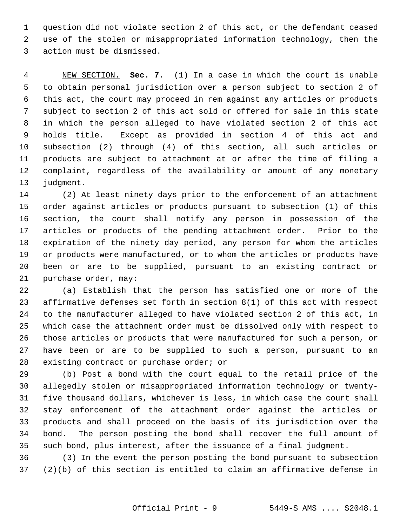1 question did not violate section 2 of this act, or the defendant ceased 2 use of the stolen or misappropriated information technology, then the 3 action must be dismissed.

 4 NEW SECTION. **Sec. 7.** (1) In a case in which the court is unable 5 to obtain personal jurisdiction over a person subject to section 2 of 6 this act, the court may proceed in rem against any articles or products 7 subject to section 2 of this act sold or offered for sale in this state 8 in which the person alleged to have violated section 2 of this act 9 holds title. Except as provided in section 4 of this act and 10 subsection (2) through (4) of this section, all such articles or 11 products are subject to attachment at or after the time of filing a 12 complaint, regardless of the availability or amount of any monetary 13 judgment.

14 (2) At least ninety days prior to the enforcement of an attachment 15 order against articles or products pursuant to subsection (1) of this 16 section, the court shall notify any person in possession of the 17 articles or products of the pending attachment order. Prior to the 18 expiration of the ninety day period, any person for whom the articles 19 or products were manufactured, or to whom the articles or products have 20 been or are to be supplied, pursuant to an existing contract or 21 purchase order, may:

22 (a) Establish that the person has satisfied one or more of the 23 affirmative defenses set forth in section 8(1) of this act with respect 24 to the manufacturer alleged to have violated section 2 of this act, in 25 which case the attachment order must be dissolved only with respect to 26 those articles or products that were manufactured for such a person, or 27 have been or are to be supplied to such a person, pursuant to an 28 existing contract or purchase order; or

29 (b) Post a bond with the court equal to the retail price of the 30 allegedly stolen or misappropriated information technology or twenty-31 five thousand dollars, whichever is less, in which case the court shall 32 stay enforcement of the attachment order against the articles or 33 products and shall proceed on the basis of its jurisdiction over the 34 bond. The person posting the bond shall recover the full amount of 35 such bond, plus interest, after the issuance of a final judgment.

36 (3) In the event the person posting the bond pursuant to subsection 37 (2)(b) of this section is entitled to claim an affirmative defense in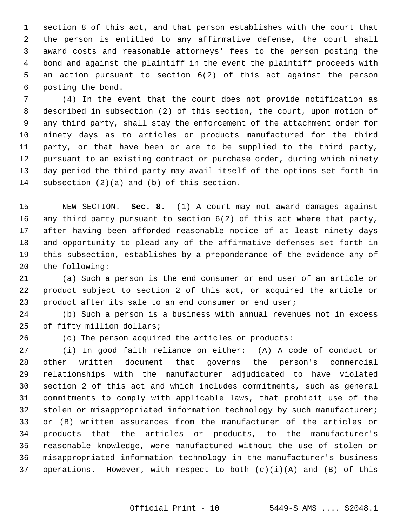1 section 8 of this act, and that person establishes with the court that 2 the person is entitled to any affirmative defense, the court shall 3 award costs and reasonable attorneys' fees to the person posting the 4 bond and against the plaintiff in the event the plaintiff proceeds with 5 an action pursuant to section 6(2) of this act against the person 6 posting the bond.

 7 (4) In the event that the court does not provide notification as 8 described in subsection (2) of this section, the court, upon motion of 9 any third party, shall stay the enforcement of the attachment order for 10 ninety days as to articles or products manufactured for the third 11 party, or that have been or are to be supplied to the third party, 12 pursuant to an existing contract or purchase order, during which ninety 13 day period the third party may avail itself of the options set forth in 14 subsection (2)(a) and (b) of this section.

15 NEW SECTION. **Sec. 8.** (1) A court may not award damages against 16 any third party pursuant to section 6(2) of this act where that party, 17 after having been afforded reasonable notice of at least ninety days 18 and opportunity to plead any of the affirmative defenses set forth in 19 this subsection, establishes by a preponderance of the evidence any of 20 the following:

21 (a) Such a person is the end consumer or end user of an article or 22 product subject to section 2 of this act, or acquired the article or 23 product after its sale to an end consumer or end user;

24 (b) Such a person is a business with annual revenues not in excess 25 of fifty million dollars;

26 (c) The person acquired the articles or products:

27 (i) In good faith reliance on either: (A) A code of conduct or 28 other written document that governs the person's commercial 29 relationships with the manufacturer adjudicated to have violated 30 section 2 of this act and which includes commitments, such as general 31 commitments to comply with applicable laws, that prohibit use of the 32 stolen or misappropriated information technology by such manufacturer; 33 or (B) written assurances from the manufacturer of the articles or 34 products that the articles or products, to the manufacturer's 35 reasonable knowledge, were manufactured without the use of stolen or 36 misappropriated information technology in the manufacturer's business 37 operations. However, with respect to both  $(c)(i)(A)$  and  $(B)$  of this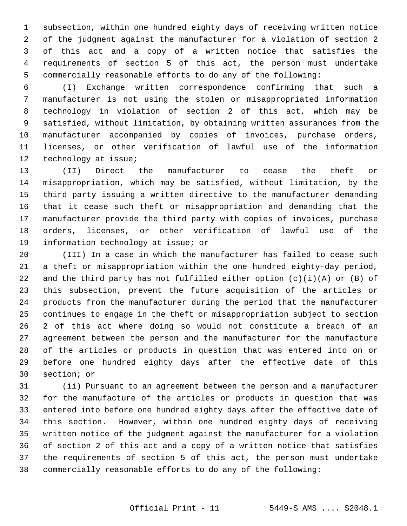1 subsection, within one hundred eighty days of receiving written notice 2 of the judgment against the manufacturer for a violation of section 2 3 of this act and a copy of a written notice that satisfies the 4 requirements of section 5 of this act, the person must undertake 5 commercially reasonable efforts to do any of the following:

 6 (I) Exchange written correspondence confirming that such a 7 manufacturer is not using the stolen or misappropriated information 8 technology in violation of section 2 of this act, which may be 9 satisfied, without limitation, by obtaining written assurances from the 10 manufacturer accompanied by copies of invoices, purchase orders, 11 licenses, or other verification of lawful use of the information 12 technology at issue;

13 (II) Direct the manufacturer to cease the theft or 14 misappropriation, which may be satisfied, without limitation, by the 15 third party issuing a written directive to the manufacturer demanding 16 that it cease such theft or misappropriation and demanding that the 17 manufacturer provide the third party with copies of invoices, purchase 18 orders, licenses, or other verification of lawful use of the 19 information technology at issue; or

20 (III) In a case in which the manufacturer has failed to cease such 21 a theft or misappropriation within the one hundred eighty-day period, 22 and the third party has not fulfilled either option  $(c)(i)(A)$  or  $(B)$  of 23 this subsection, prevent the future acquisition of the articles or 24 products from the manufacturer during the period that the manufacturer 25 continues to engage in the theft or misappropriation subject to section 26 2 of this act where doing so would not constitute a breach of an 27 agreement between the person and the manufacturer for the manufacture 28 of the articles or products in question that was entered into on or 29 before one hundred eighty days after the effective date of this 30 section; or

31 (ii) Pursuant to an agreement between the person and a manufacturer 32 for the manufacture of the articles or products in question that was 33 entered into before one hundred eighty days after the effective date of 34 this section. However, within one hundred eighty days of receiving 35 written notice of the judgment against the manufacturer for a violation 36 of section 2 of this act and a copy of a written notice that satisfies 37 the requirements of section 5 of this act, the person must undertake 38 commercially reasonable efforts to do any of the following:

## Official Print - 11 5449-S AMS .... S2048.1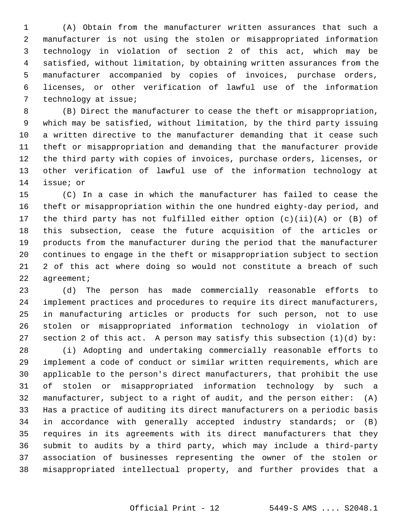1 (A) Obtain from the manufacturer written assurances that such a 2 manufacturer is not using the stolen or misappropriated information 3 technology in violation of section 2 of this act, which may be 4 satisfied, without limitation, by obtaining written assurances from the 5 manufacturer accompanied by copies of invoices, purchase orders, 6 licenses, or other verification of lawful use of the information 7 technology at issue;

 8 (B) Direct the manufacturer to cease the theft or misappropriation, 9 which may be satisfied, without limitation, by the third party issuing 10 a written directive to the manufacturer demanding that it cease such 11 theft or misappropriation and demanding that the manufacturer provide 12 the third party with copies of invoices, purchase orders, licenses, or 13 other verification of lawful use of the information technology at 14 issue; or

15 (C) In a case in which the manufacturer has failed to cease the 16 theft or misappropriation within the one hundred eighty-day period, and 17 the third party has not fulfilled either option (c)(ii)(A) or (B) of 18 this subsection, cease the future acquisition of the articles or 19 products from the manufacturer during the period that the manufacturer 20 continues to engage in the theft or misappropriation subject to section 21 2 of this act where doing so would not constitute a breach of such 22 agreement;

23 (d) The person has made commercially reasonable efforts to 24 implement practices and procedures to require its direct manufacturers, 25 in manufacturing articles or products for such person, not to use 26 stolen or misappropriated information technology in violation of 27 section 2 of this act. A person may satisfy this subsection (1)(d) by:

28 (i) Adopting and undertaking commercially reasonable efforts to 29 implement a code of conduct or similar written requirements, which are 30 applicable to the person's direct manufacturers, that prohibit the use 31 of stolen or misappropriated information technology by such a 32 manufacturer, subject to a right of audit, and the person either: (A) 33 Has a practice of auditing its direct manufacturers on a periodic basis 34 in accordance with generally accepted industry standards; or (B) 35 requires in its agreements with its direct manufacturers that they 36 submit to audits by a third party, which may include a third-party 37 association of businesses representing the owner of the stolen or 38 misappropriated intellectual property, and further provides that a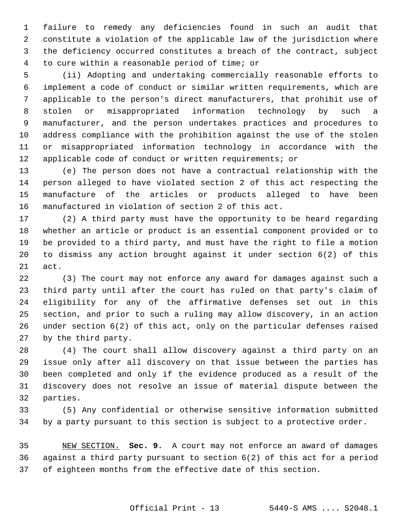1 failure to remedy any deficiencies found in such an audit that 2 constitute a violation of the applicable law of the jurisdiction where 3 the deficiency occurred constitutes a breach of the contract, subject 4 to cure within a reasonable period of time; or

 5 (ii) Adopting and undertaking commercially reasonable efforts to 6 implement a code of conduct or similar written requirements, which are 7 applicable to the person's direct manufacturers, that prohibit use of 8 stolen or misappropriated information technology by such a 9 manufacturer, and the person undertakes practices and procedures to 10 address compliance with the prohibition against the use of the stolen 11 or misappropriated information technology in accordance with the 12 applicable code of conduct or written requirements; or

13 (e) The person does not have a contractual relationship with the 14 person alleged to have violated section 2 of this act respecting the 15 manufacture of the articles or products alleged to have been 16 manufactured in violation of section 2 of this act.

17 (2) A third party must have the opportunity to be heard regarding 18 whether an article or product is an essential component provided or to 19 be provided to a third party, and must have the right to file a motion 20 to dismiss any action brought against it under section 6(2) of this 21 act.

22 (3) The court may not enforce any award for damages against such a 23 third party until after the court has ruled on that party's claim of 24 eligibility for any of the affirmative defenses set out in this 25 section, and prior to such a ruling may allow discovery, in an action 26 under section 6(2) of this act, only on the particular defenses raised 27 by the third party.

28 (4) The court shall allow discovery against a third party on an 29 issue only after all discovery on that issue between the parties has 30 been completed and only if the evidence produced as a result of the 31 discovery does not resolve an issue of material dispute between the 32 parties.

33 (5) Any confidential or otherwise sensitive information submitted 34 by a party pursuant to this section is subject to a protective order.

35 NEW SECTION. **Sec. 9.** A court may not enforce an award of damages 36 against a third party pursuant to section 6(2) of this act for a period 37 of eighteen months from the effective date of this section.